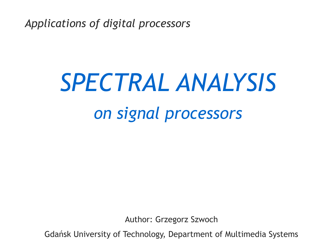*Applications of digital processors*

# *SPECTRAL ANALYSIS on signal processors*

Author: Grzegorz Szwoch

Gdańsk University of Technology, Department of Multimedia Systems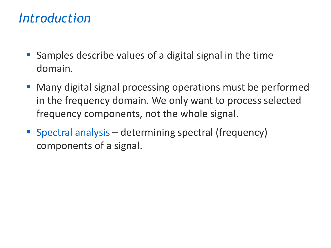#### *Introduction*

- Samples describe values of a digital signal in the time domain.
- Many digital signal processing operations must be performed in the frequency domain. We only want to process selected frequency components, not the whole signal.
- Spectral analysis determining spectral (frequency) components of a signal.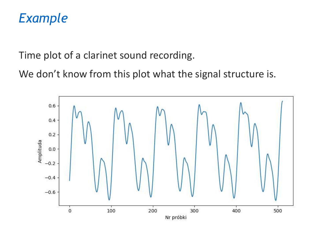#### *Example*

Time plot of a clarinet sound recording.

We don't know from this plot what the signal structure is.

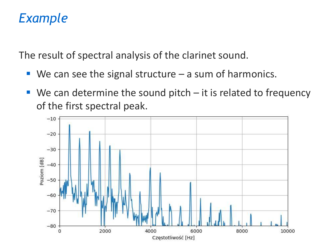### *Example*

The result of spectral analysis of the clarinet sound.

- $\blacksquare$  We can see the signal structure  $-$  a sum of harmonics.
- $\blacksquare$  We can determine the sound pitch  $-$  it is related to frequency of the first spectral peak.

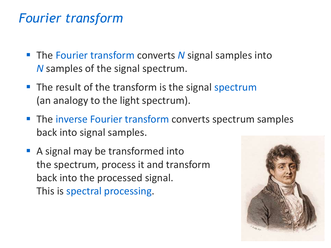#### *Fourier transform*

- The Fourier transform converts *N* signal samples into *N* samples of the signal spectrum.
- The result of the transform is the signal spectrum (an analogy to the light spectrum).
- **The inverse Fourier transform converts spectrum samples** back into signal samples.
- A signal may be transformed into the spectrum, process it and transform back into the processed signal. This is spectral processing.

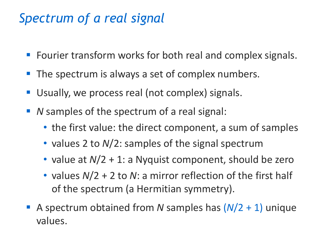# *Spectrum of a real signal*

- Fourier transform works for both real and complex signals.
- The spectrum is always a set of complex numbers.
- Usually, we process real (not complex) signals.
- *N* samples of the spectrum of a real signal:
	- the first value: the direct component, a sum of samples
	- values 2 to *N*/2: samples of the signal spectrum
	- value at  $N/2$  + 1: a Nyquist component, should be zero
	- values *N*/2 + 2 to *N*: a mirror reflection of the first half of the spectrum (a Hermitian symmetry).
- A spectrum obtained from *N* samples has (*N*/2 + 1) unique values.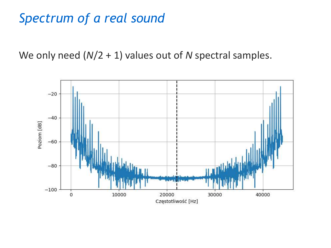## *Spectrum of a real sound*

We only need (*N*/2 + 1) values out of *N* spectral samples.

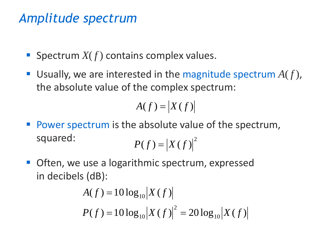# *Amplitude spectrum*

- **E** Spectrum  $X(f)$  contains complex values.
- Usually, we are interested in the magnitude spectrum  $A(f)$ , the absolute value of the complex spectrum:

$$
A(f) = |X(f)|
$$

- Power spectrum is the absolute value of the spectrum, squared:  $P(f) = |X(f)|^2$
- Often, we use a logarithmic spectrum, expressed in decibels (dB):

$$
A(f) = 10 \log_{10} |X(f)|
$$
  

$$
P(f) = 10 \log_{10} |X(f)|^2 = 20 \log_{10} |X(f)|
$$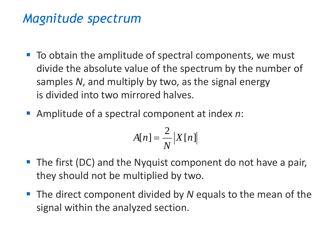#### *Magnitude spectrum*

- To obtain the amplitude of spectral components, we must divide the absolute value of the spectrum by the number of samples *N*, and multiply by two, as the signal energy is divided into two mirrored halves.
- Amplitude of a spectral component at index *n*:

$$
A[n] = \frac{2}{N} |X[n]|
$$

- The first (DC) and the Nyquist component do not have a pair, they should not be multiplied by two.
- The direct component divided by *N* equals to the mean of the signal within the analyzed section.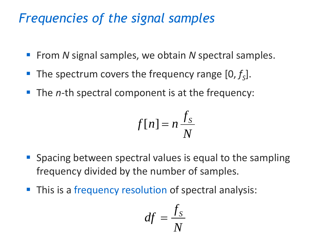# *Frequencies of the signal samples*

- From *N* signal samples, we obtain *N* spectral samples.
- The spectrum covers the frequency range [0,  $f_s$ ].
- The *n*-th spectral component is at the frequency:

$$
f[n] = n \frac{f_S}{N}
$$

- **E** Spacing between spectral values is equal to the sampling frequency divided by the number of samples.
- **This is a frequency resolution of spectral analysis:**

$$
df = \frac{f_S}{N}
$$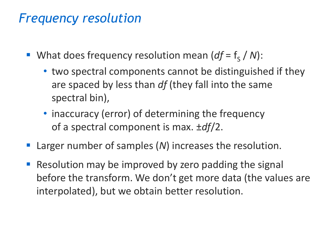#### *Frequency resolution*

- What does frequency resolution mean (*df* = f<sub>s</sub> / N):
	- two spectral components cannot be distinguished if they are spaced by less than *df* (they fall into the same spectral bin),
	- inaccuracy (error) of determining the frequency of a spectral component is max. ±*df*/2.
- Larger number of samples (*N*) increases the resolution.
- Resolution may be improved by zero padding the signal before the transform. We don't get more data (the values are interpolated), but we obtain better resolution.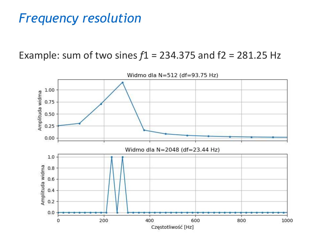### *Frequency resolution*

Example: sum of two sines  $f1 = 234.375$  and  $f2 = 281.25$  Hz



Widmo dla N=512 (df=93.75 Hz)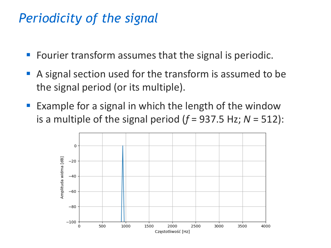## *Periodicity of the signal*

- Fourier transform assumes that the signal is periodic.
- A signal section used for the transform is assumed to be the signal period (or its multiple).
- Example for a signal in which the length of the window is a multiple of the signal period  $(f = 937.5 \text{ Hz}; N = 512)$ :

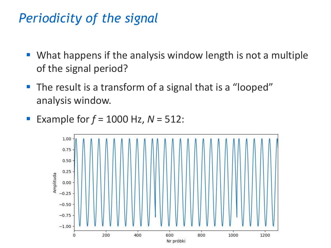# *Periodicity of the signal*

- What happens if the analysis window length is not a multiple of the signal period?
- The result is a transform of a signal that is a "looped" analysis window.
- Example for *f* = 1000 Hz, *N* = 512:

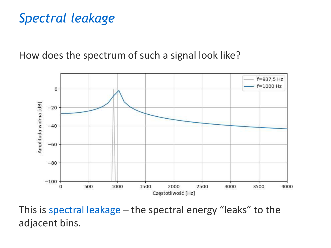# *Spectral leakage*

How does the spectrum of such a signal look like?



This is spectral leakage – the spectral energy "leaks" to the adjacent bins.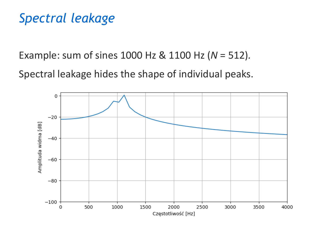# *Spectral leakage*

Example: sum of sines 1000 Hz & 1100 Hz (*N* = 512)*.*

Spectral leakage hides the shape of individual peaks.

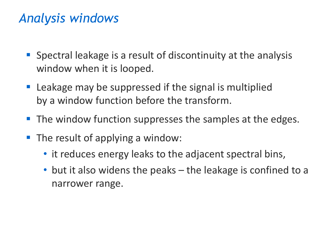# *Analysis windows*

- Spectral leakage is a result of discontinuity at the analysis window when it is looped.
- Leakage may be suppressed if the signal is multiplied by a window function before the transform.
- The window function suppresses the samples at the edges.
- The result of applying a window:
	- it reduces energy leaks to the adjacent spectral bins,
	- but it also widens the peaks the leakage is confined to a narrower range.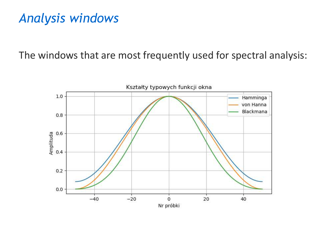# *Analysis windows*

The windows that are most frequently used for spectral analysis:

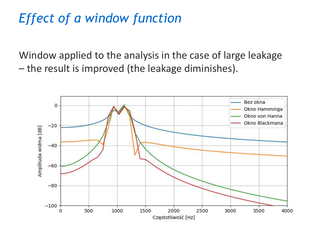# *Effect of a window function*

Window applied to the analysis in the case of large leakage – the result is improved (the leakage diminishes).

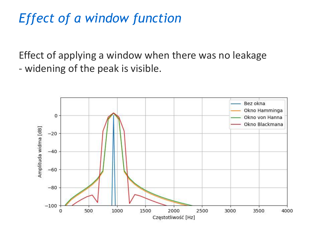# *Effect of a window function*

Effect of applying a window when there was no leakage - widening of the peak is visible.

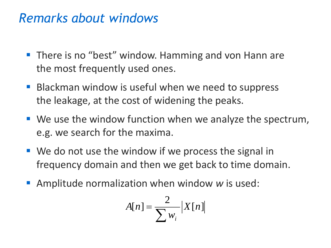#### *Remarks about windows*

- There is no "best" window. Hamming and von Hann are the most frequently used ones.
- Blackman window is useful when we need to suppress the leakage, at the cost of widening the peaks.
- We use the window function when we analyze the spectrum, e.g. we search for the maxima.
- We do not use the window if we process the signal in frequency domain and then we get back to time domain.
- **E** Amplitude normalization when window w is used:

$$
A[n] = \frac{2}{\sum w_i} |X[n]|
$$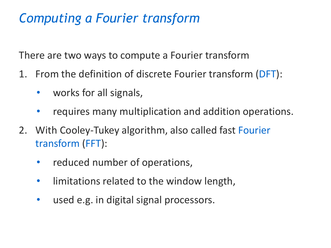# *Computing a Fourier transform*

There are two ways to compute a Fourier transform

- 1. From the definition of discrete Fourier transform (DFT):
	- works for all signals,
	- requires many multiplication and addition operations.
- 2. With Cooley-Tukey algorithm, also called fast Fourier transform (FFT):
	- reduced number of operations,
	- limitations related to the window length,
	- used e.g. in digital signal processors.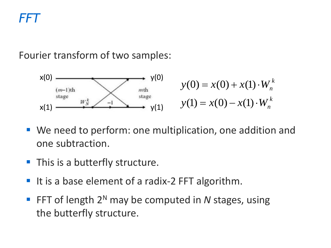# *FFT*

#### Fourier transform of two samples:



- We need to perform: one multiplication, one addition and one subtraction.
- **This is a butterfly structure.**
- It is a base element of a radix-2 FFT algorithm.
- FFT of length 2<sup>N</sup> may be computed in N stages, using the butterfly structure.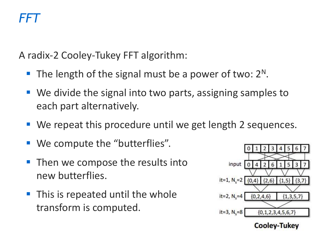A radix-2 Cooley-Tukey FFT algorithm:

- $\blacksquare$  The length of the signal must be a power of two:  $2^N$ .
- We divide the signal into two parts, assigning samples to each part alternatively.
- We repeat this procedure until we get length 2 sequences.
- We compute the "butterflies".
- Then we compose the results into new butterflies.
- This is repeated until the whole transform is computed.



**Cooley-Tukey**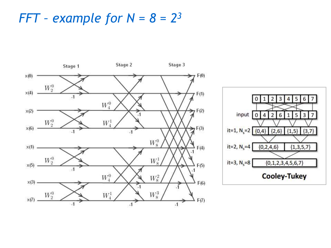#### *FFT – example for*  $N = 8 = 2^3$

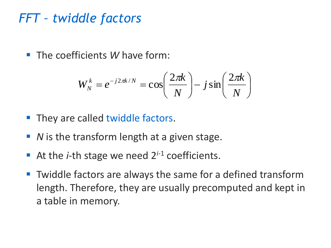#### *FFT – twiddle factors*

■ The coefficients *W* have form:

$$
W_N^k = e^{-j2\pi k/N} = \cos\left(\frac{2\pi k}{N}\right) - j\sin\left(\frac{2\pi k}{N}\right)
$$

- **They are called twiddle factors.**
- *N* is the transform length at a given stage.
- **E** At the *i*-th stage we need  $2^{i-1}$  coefficients.
- Twiddle factors are always the same for a defined transform length. Therefore, they are usually precomputed and kept in a table in memory.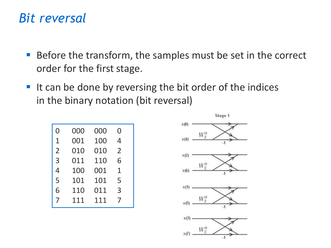#### *Bit reversal*

- Before the transform, the samples must be set in the correct order for the first stage.
- It can be done by reversing the bit order of the indices in the binary notation (bit reversal)

| 0              | 000 | 000 | 0              |  |
|----------------|-----|-----|----------------|--|
| 1              | 001 | 100 | 4              |  |
| $\overline{2}$ | 010 | 010 | $\overline{2}$ |  |
| 3              | 011 | 110 | 6              |  |
| 4              | 100 | 001 | 1              |  |
| 5              | 101 | 101 | 5              |  |
| 6              | 110 | 011 | 3              |  |
| 7              | 111 | 111 | 7              |  |
|                |     |     |                |  |

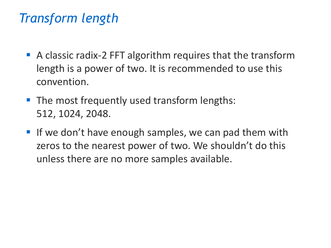# *Transform length*

- A classic radix-2 FFT algorithm requires that the transform length is a power of two. It is recommended to use this convention.
- The most frequently used transform lengths: 512, 1024, 2048.
- **If we don't have enough samples, we can pad them with** zeros to the nearest power of two. We shouldn't do this unless there are no more samples available.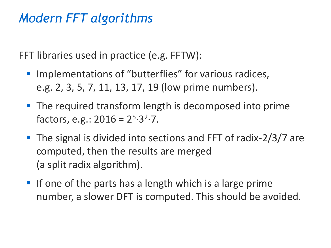# *Modern FFT algorithms*

FFT libraries used in practice (e.g. FFTW):

- Implementations of "butterflies" for various radices, e.g. 2, 3, 5, 7, 11, 13, 17, 19 (low prime numbers).
- **The required transform length is decomposed into prime** factors, e.g.:  $2016 = 2^{5.32.7}.$
- The signal is divided into sections and FFT of radix-2/3/7 are computed, then the results are merged (a split radix algorithm).
- $\blacksquare$  If one of the parts has a length which is a large prime number, a slower DFT is computed. This should be avoided.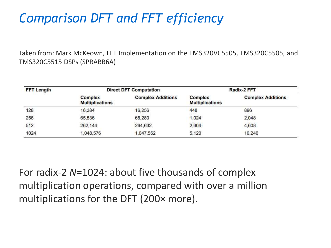# *Comparison DFT and FFT efficiency*

Taken from: Mark McKeown, FFT Implementation on the TMS320VC5505, TMS320C5505, and TMS320C5515 DSPs (SPRABB6A)

| <b>FFT Length</b> | <b>Direct DFT Computation</b>     |                          | Radix-2 FFT                       |                          |
|-------------------|-----------------------------------|--------------------------|-----------------------------------|--------------------------|
|                   | Complex<br><b>Multiplications</b> | <b>Complex Additions</b> | Complex<br><b>Multiplications</b> | <b>Complex Additions</b> |
| 128               | 16,384                            | 16,256                   | 448                               | 896                      |
| 256               | 65,536                            | 65,280                   | 1.024                             | 2,048                    |
| 512               | 262,144                           | 264,632                  | 2,304                             | 4,608                    |
| 1024              | 1,048,576                         | 1,047,552                | 5.120                             | 10,240                   |

For radix-2 *N*=1024: about five thousands of complex multiplication operations, compared with over a million multiplications for the DFT (200× more).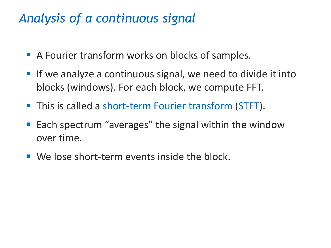# *Analysis of a continuous signal*

- A Fourier transform works on blocks of samples.
- If we analyze a continuous signal, we need to divide it into blocks (windows). For each block, we compute FFT.
- This is called a short-term Fourier transform (STFT).
- Each spectrum "averages" the signal within the window over time.
- We lose short-term events inside the block.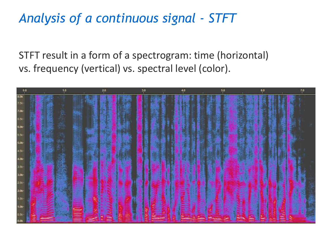# *Analysis of a continuous signal - STFT*

STFT result in a form of a spectrogram: time (horizontal) vs. frequency (vertical) vs. spectral level (color).

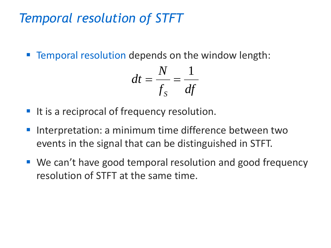# *Temporal resolution of STFT*

■ Temporal resolution depends on the window length:

$$
dt = \frac{N}{f_s} = \frac{1}{df}
$$

- It is a reciprocal of frequency resolution.
- Interpretation: a minimum time difference between two events in the signal that can be distinguished in STFT.
- We can't have good temporal resolution and good frequency resolution of STFT at the same time.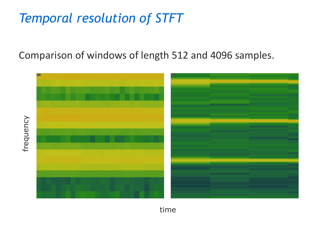# *Temporal resolution of STFT*

Comparison of windows of length 512 and 4096 samples.



time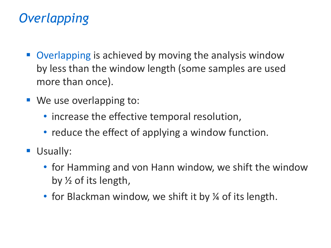# *Overlapping*

- Overlapping is achieved by moving the analysis window by less than the window length (some samples are used more than once).
- We use overlapping to:
	- increase the effective temporal resolution,
	- reduce the effect of applying a window function.
- **Usually:** 
	- for Hamming and von Hann window, we shift the window by ½ of its length,
	- for Blackman window, we shift it by  $\frac{1}{4}$  of its length.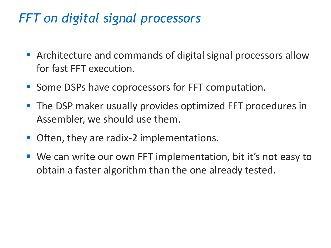# *FFT on digital signal processors*

- Architecture and commands of digital signal processors allow for fast FFT execution.
- Some DSPs have coprocessors for FFT computation.
- The DSP maker usually provides optimized FFT procedures in Assembler, we should use them.
- Often, they are radix-2 implementations.
- We can write our own FFT implementation, bit it's not easy to obtain a faster algorithm than the one already tested.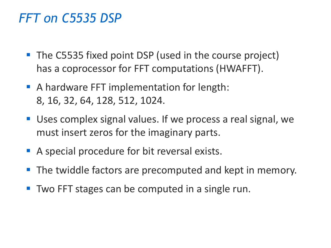#### *FFT on C5535 DSP*

- The C5535 fixed point DSP (used in the course project) has a coprocessor for FFT computations (HWAFFT).
- A hardware FFT implementation for length: 8, 16, 32, 64, 128, 512, 1024.
- Uses complex signal values. If we process a real signal, we must insert zeros for the imaginary parts.
- A special procedure for bit reversal exists.
- The twiddle factors are precomputed and kept in memory.
- **Two FFT stages can be computed in a single run.**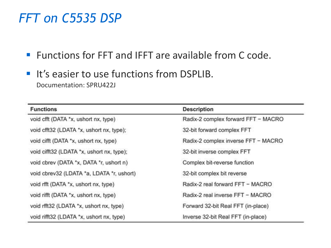#### *FFT on C5535 DSP*

■ Functions for FFT and IFFT are available from C code.

**. It's easier to use functions from DSPLIB.** Documentation: SPRU422J

| <b>Functions</b>                          | <b>Description</b>                  |  |
|-------------------------------------------|-------------------------------------|--|
| void cfft (DATA *x, ushort nx, type)      | Radix-2 complex forward FFT - MACRO |  |
| void cfft32 (LDATA *x, ushort nx, type);  | 32-bit forward complex FFT          |  |
| void cifft (DATA *x, ushort nx, type)     | Radix-2 complex inverse FFT - MACRO |  |
| void cifft32 (LDATA *x, ushort nx, type); | 32-bit inverse complex FFT          |  |
| void cbrev (DATA *x, DATA *r, ushort n)   | Complex bit-reverse function        |  |
| void cbrev32 (LDATA *a, LDATA *r, ushort) | 32-bit complex bit reverse          |  |
| void rfft (DATA *x, ushort nx, type)      | Radix-2 real forward FFT - MACRO    |  |
| void rifft (DATA *x, ushort nx, type)     | Radix-2 real inverse FFT - MACRO    |  |
| void rfft32 (LDATA *x, ushort nx, type)   | Forward 32-bit Real FFT (in-place)  |  |
| void rifft32 (LDATA *x, ushort nx, type)  | Inverse 32-bit Real FFT (in-place)  |  |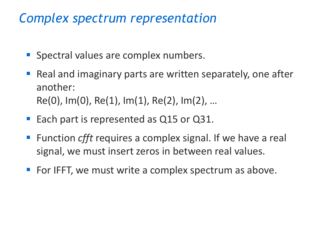#### *Complex spectrum representation*

- **Spectral values are complex numbers.**
- Real and imaginary parts are written separately, one after another:  $Re(0)$ , Im $(0)$ , Re $(1)$ , Im $(1)$ , Re $(2)$ , Im $(2)$ , ...
- Each part is represented as Q15 or Q31.
- Function *cfft* requires a complex signal. If we have a real signal, we must insert zeros in between real values.
- For IFFT, we must write a complex spectrum as above.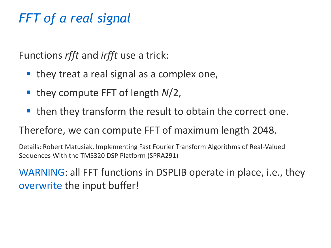# *FFT of a real signal*

Functions *rfft* and *irfft* use a trick:

- $\blacksquare$  they treat a real signal as a complex one,
- they compute FFT of length *N*/2,
- then they transform the result to obtain the correct one.

#### Therefore, we can compute FFT of maximum length 2048.

Details: Robert Matusiak, Implementing Fast Fourier Transform Algorithms of Real-Valued Sequences With the TMS320 DSP Platform (SPRA291)

WARNING: all FFT functions in DSPLIB operate in place, i.e., they overwrite the input buffer!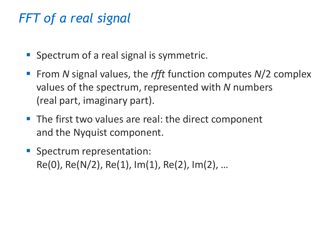# *FFT of a real signal*

- Spectrum of a real signal is symmetric.
- From *N* signal values, the *rfft* function computes *N*/2 complex values of the spectrum, represented with *N* numbers (real part, imaginary part).
- The first two values are real: the direct component and the Nyquist component.
- **E** Spectrum representation: Re(0), Re(N/2), Re(1), Im(1), Re(2), Im(2), …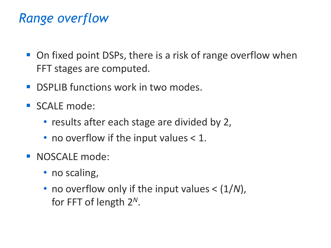# *Range overflow*

- On fixed point DSPs, there is a risk of range overflow when FFT stages are computed.
- **DSPLIB functions work in two modes.**
- SCALE mode:
	- results after each stage are divided by 2,
	- no overflow if the input values  $< 1$ .
- **E** NOSCALE mode:
	- no scaling,
	- no overflow only if the input values <  $(1/N)$ , for FFT of length 2 *N*.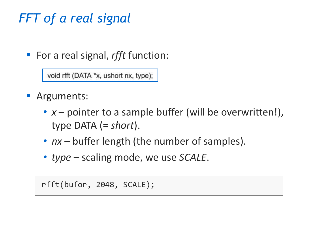# *FFT of a real signal*

■ For a real signal, *rfft* function:

void rfft (DATA \*x, ushort nx, type);

- **E** Arguments:
	- *x* pointer to a sample buffer (will be overwritten!), type DATA (= *short*).
	- *nx* buffer length (the number of samples).
	- *type* scaling mode, we use *SCALE*.

rfft(bufor, 2048, SCALE);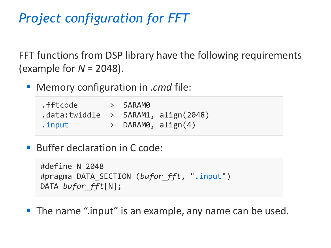# *Project configuration for FFT*

FFT functions from DSP library have the following requirements (example for *N* = 2048).

**Memory configuration in** *.cmd* **file:** 

| .fftcode                                 | $>$ SARAMO |                         |
|------------------------------------------|------------|-------------------------|
| $.data:$ twiddle > SARAM1, $align(2048)$ |            |                         |
| .input                                   |            | $>$ DARAM0, align $(4)$ |

■ Buffer declaration in C code:

```
#define N 2048
#pragma DATA_SECTION (bufor_fft, ".input")
DATA bufor_fft[N];
```
■ The name ".input" is an example, any name can be used.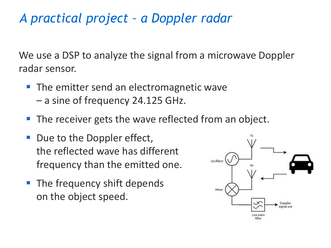# *A practical project – a Doppler radar*

We use a DSP to analyze the signal from a microwave Doppler radar sensor.

- The emitter send an electromagnetic wave – a sine of frequency 24.125 GHz.
- The receiver gets the wave reflected from an object.
- Due to the Doppler effect, the reflected wave has different frequency than the emitted one.
- The frequency shift depends on the object speed.

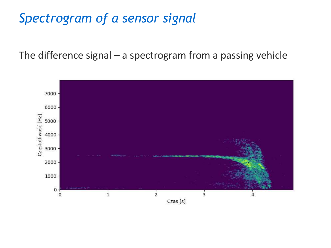# *Spectrogram of a sensor signal*

The difference signal – a spectrogram from a passing vehicle

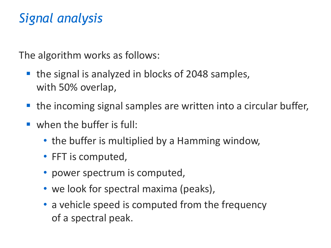# *Signal analysis*

The algorithm works as follows:

- the signal is analyzed in blocks of 2048 samples, with 50% overlap,
- the incoming signal samples are written into a circular buffer,
- when the buffer is full:
	- the buffer is multiplied by a Hamming window,
	- FFT is computed,
	- power spectrum is computed,
	- we look for spectral maxima (peaks),
	- a vehicle speed is computed from the frequency of a spectral peak.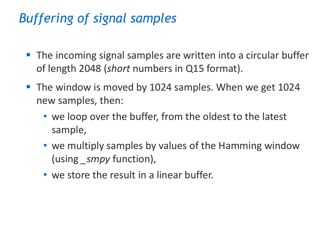# *Buffering of signal samples*

- The incoming signal samples are written into a circular buffer of length 2048 (*short* numbers in Q15 format).
- The window is moved by 1024 samples. When we get 1024 new samples, then:
	- we loop over the buffer, from the oldest to the latest sample,
	- we multiply samples by values of the Hamming window (using *\_smpy* function),
	- we store the result in a linear buffer.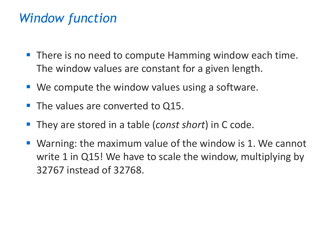# *Window function*

- There is no need to compute Hamming window each time. The window values are constant for a given length.
- $\blacksquare$  We compute the window values using a software.
- The values are converted to Q15.
- They are stored in a table *(const short)* in C code.
- Warning: the maximum value of the window is 1. We cannot write 1 in Q15! We have to scale the window, multiplying by 32767 instead of 32768.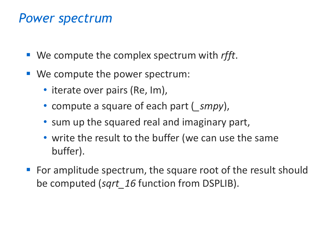#### *Power spectrum*

- We compute the complex spectrum with *rfft*.
- We compute the power spectrum:
	- iterate over pairs (Re, Im),
	- compute a square of each part (*\_smpy*),
	- sum up the squared real and imaginary part,
	- write the result to the buffer (we can use the same buffer).
- For amplitude spectrum, the square root of the result should be computed (*sqrt\_16* function from DSPLIB).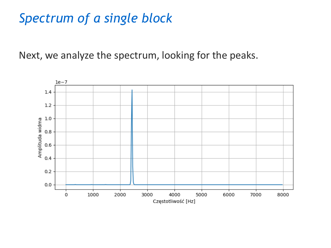#### *Spectrum of a single block*

Next, we analyze the spectrum, looking for the peaks.

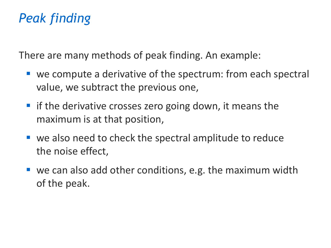# *Peak finding*

There are many methods of peak finding. An example:

- we compute a derivative of the spectrum: from each spectral value, we subtract the previous one,
- $\blacksquare$  if the derivative crosses zero going down, it means the maximum is at that position,
- we also need to check the spectral amplitude to reduce the noise effect,
- $\blacksquare$  we can also add other conditions, e.g. the maximum width of the peak.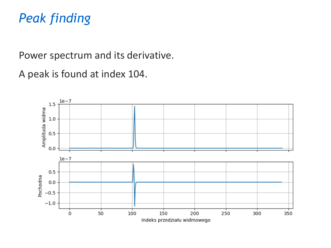# *Peak finding*

Power spectrum and its derivative.

A peak is found at index 104.

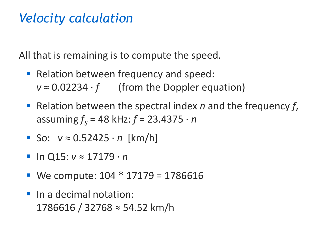# *Velocity calculation*

All that is remaining is to compute the speed.

- Relation between frequency and speed:  $v \approx 0.02234 \cdot f$  (from the Doppler equation)
- Relation between the spectral index *n* and the frequency *f*, assuming *f <sup>S</sup>* = 48 kHz: *f* = 23.4375 · *n*
- So: *v* ≈ 0.52425 · *n* [km/h]
- In Q15: *v* ≈ 17179 · *n*
- **•** We compute:  $104 * 17179 = 1786616$
- **·** In a decimal notation: 1786616 / 32768 ≈ 54.52 km/h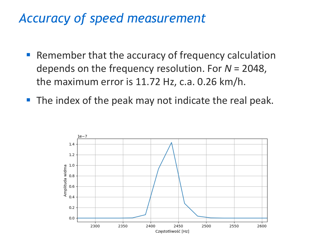#### *Accuracy of speed measurement*

- Remember that the accuracy of frequency calculation depends on the frequency resolution. For *N* = 2048, the maximum error is 11.72 Hz, c.a. 0.26 km/h.
- The index of the peak may not indicate the real peak.

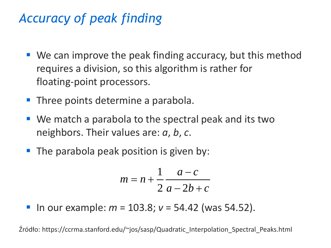# *Accuracy of peak finding*

- $\blacksquare$  We can improve the peak finding accuracy, but this method requires a division, so this algorithm is rather for floating-point processors.
- **Three points determine a parabola.**
- We match a parabola to the spectral peak and its two neighbors. Their values are: *a*, *b*, *c*.
- The parabola peak position is given by:

$$
m = n + \frac{1}{2} \frac{a-c}{a-2b+c}
$$

 $\blacksquare$  In our example:  $m = 103.8$ ;  $v = 54.42$  (was 54.52).

Źródło: https://ccrma.stanford.edu/~jos/sasp/Quadratic\_Interpolation\_Spectral\_Peaks.html